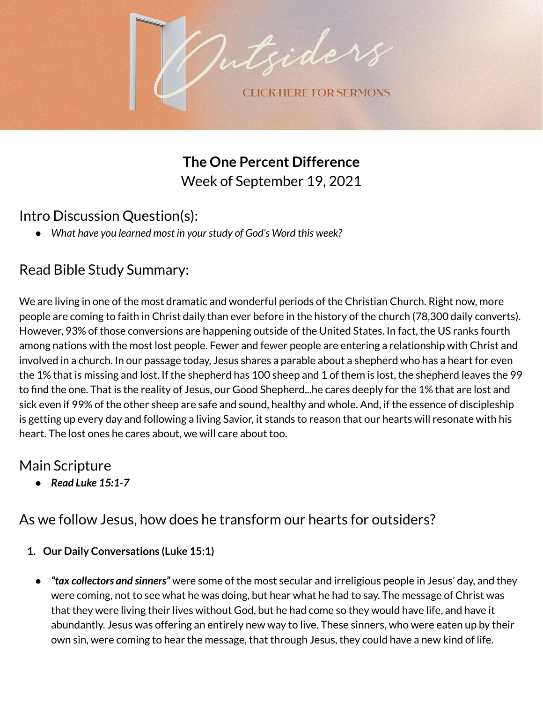

**The One Percent Difference** Week of September 19, 2021

## Intro Discussion Question(s):

*● What have you learned most in yourstudy of God's Word this week?*

# Read Bible Study Summary:

We are living in one of the most dramatic and wonderful periods of the Christian Church. Right now, more people are coming to faith in Christ daily than ever before in the history of the church (78,300 daily converts). However, 93% of those conversions are happening outside of the United States. In fact, the US ranks fourth among nations with the most lost people. Fewer and fewer people are entering a relationship with Christ and involved in a church. In our passage today, Jesus shares a parable about a shepherd who has a heart for even the 1% that is missing and lost. If the shepherd has 100 sheep and 1 of them is lost, the shepherd leaves the 99 to find the one. That is the reality of Jesus, our Good Shepherd...he cares deeply for the 1% that are lost and sick even if 99% of the other sheep are safe and sound, healthy and whole. And, if the essence of discipleship is getting up every day and following a living Savior, it stands to reason that our hearts will resonate with his heart. The lost ones he cares about, we will care about too.

## Main Scripture

*● Read Luke 15:1-7*

# As we follow Jesus, how does he transform our hearts for outsiders?

- **1. Our Daily Conversations (Luke 15:1)**
	- **●** *"tax collectors and sinners"* were some of the most secular and irreligious people in Jesus' day, and they were coming, not to see what he was doing, but hear what he had to say. The message of Christ was that they were living their lives without God, but he had come so they would have life, and have it abundantly. Jesus was offering an entirely new way to live. These sinners, who were eaten up by their own sin, were coming to hear the message, that through Jesus, they could have a new kind of life.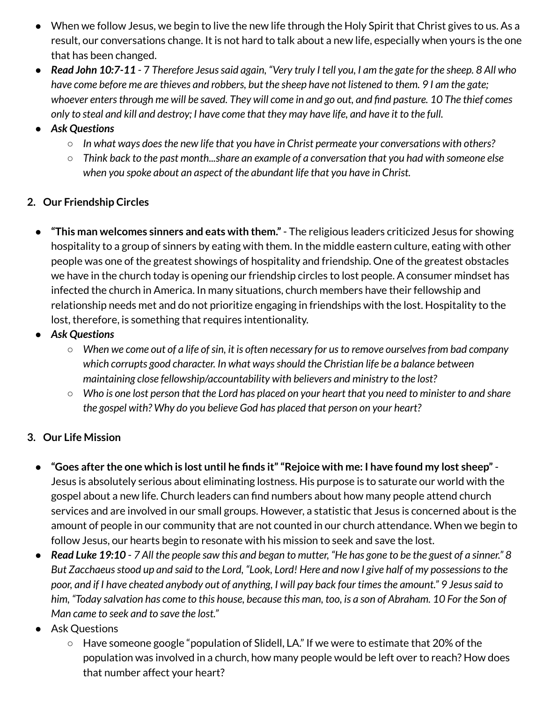- When we follow Jesus, we begin to live the new life through the Holy Spirit that Christ gives to us. As a result, our conversations change. It is not hard to talk about a new life, especially when yours is the one that has been changed.
- Read John 10:7-11 7 Therefore Jesus said again, "Very truly I tell you, I am the gate for the sheep. 8 All who have come before me are thieves and robbers, but the sheep have not listened to them. 9 I am the gate; whoever enters through me will be saved. They will come in and go out, and find pasture. 10 The thief comes only to steal and kill and destroy; I have come that they may have life, and have it to the full.
- *● Ask Questions*
	- *○ In what ways doesthe new life that you have in Christ permeate your conversations with others?*
	- *○ Think back to the past month...share an example of a conversation that you had with someone else when you spoke about an aspect of the abundant life that you have in Christ.*

### **2. Our Friendship Circles**

- **● "This man welcomes sinners and eats with them."** The religious leaders criticized Jesus for showing hospitality to a group of sinners by eating with them. In the middle eastern culture, eating with other people was one of the greatest showings of hospitality and friendship. One of the greatest obstacles we have in the church today is opening our friendship circles to lost people. A consumer mindset has infected the church in America. In many situations, church members have their fellowship and relationship needs met and do not prioritize engaging in friendships with the lost. Hospitality to the lost, therefore, is something that requires intentionality.
- *● Ask Questions*
	- $\circ$  When we come out of a life of sin, it is often necessary for us to remove ourselves from bad company *which corrupts good character. In what waysshould the Christian life be a balance between maintaining close fellowship/accountability with believers and ministry to the lost?*
	- $\circ$  Who is one lost person that the Lord has placed on your heart that you need to minister to and share *the gospel with? Why do you believe God has placed that person on your heart?*

#### **3. Our Life Mission**

- "Goes after the one which is lost until he finds it" "Rejoice with me: I have found my lost sheep" -Jesus is absolutely serious about eliminating lostness. His purpose is to saturate our world with the gospel about a new life. Church leaders can find numbers about how many people attend church services and are involved in our small groups. However, a statistic that Jesus is concerned about is the amount of people in our community that are not counted in our church attendance. When we begin to follow Jesus, our hearts begin to resonate with his mission to seek and save the lost.
- Read Luke 19:10 7 All the people saw this and began to mutter, "He has gone to be the guest of a sinner." 8 But Zacchaeus stood up and said to the Lord, "Look, Lord! Here and now I give half of my possessions to the poor, and if I have cheated anybody out of anything, I will pay back four times the amount." 9 Jesus said to him, "Today salvation has come to this house, because this man, too, is a son of Abraham. 10 For the Son of *Man came to seek and to save the lost."*
- **Ask Questions** 
	- Have someone google "population of Slidell, LA." If we were to estimate that 20% of the population was involved in a church, how many people would be left over to reach? How does that number affect your heart?